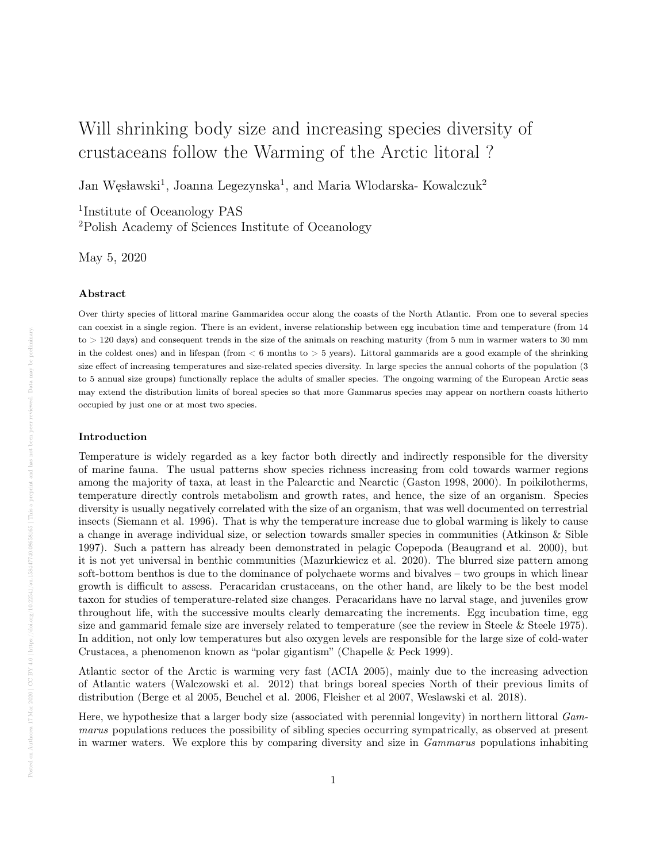# Will shrinking body size and increasing species diversity of crustaceans follow the Warming of the Arctic litoral ?

Jan Węsławski<sup>1</sup>, Joanna Legezynska<sup>1</sup>, and Maria Wlodarska- Kowalczuk<sup>2</sup>

1 Institute of Oceanology PAS <sup>2</sup>Polish Academy of Sciences Institute of Oceanology

May 5, 2020

#### Abstract

Over thirty species of littoral marine Gammaridea occur along the coasts of the North Atlantic. From one to several species can coexist in a single region. There is an evident, inverse relationship between egg incubation time and temperature (from 14 to > 120 days) and consequent trends in the size of the animals on reaching maturity (from 5 mm in warmer waters to 30 mm in the coldest ones) and in lifespan (from  $< 6$  months to  $> 5$  years). Littoral gammarids are a good example of the shrinking size effect of increasing temperatures and size-related species diversity. In large species the annual cohorts of the population (3 to 5 annual size groups) functionally replace the adults of smaller species. The ongoing warming of the European Arctic seas may extend the distribution limits of boreal species so that more Gammarus species may appear on northern coasts hitherto occupied by just one or at most two species.

#### Introduction

Temperature is widely regarded as a key factor both directly and indirectly responsible for the diversity of marine fauna. The usual patterns show species richness increasing from cold towards warmer regions among the majority of taxa, at least in the Palearctic and Nearctic (Gaston 1998, 2000). In poikilotherms, temperature directly controls metabolism and growth rates, and hence, the size of an organism. Species diversity is usually negatively correlated with the size of an organism, that was well documented on terrestrial insects (Siemann et al. 1996). That is why the temperature increase due to global warming is likely to cause a change in average individual size, or selection towards smaller species in communities (Atkinson & Sible 1997). Such a pattern has already been demonstrated in pelagic Copepoda (Beaugrand et al. 2000), but it is not yet universal in benthic communities (Mazurkiewicz et al. 2020). The blurred size pattern among soft-bottom benthos is due to the dominance of polychaete worms and bivalves – two groups in which linear growth is difficult to assess. Peracaridan crustaceans, on the other hand, are likely to be the best model taxon for studies of temperature-related size changes. Peracaridans have no larval stage, and juveniles grow throughout life, with the successive moults clearly demarcating the increments. Egg incubation time, egg size and gammarid female size are inversely related to temperature (see the review in Steele  $\&$  Steele 1975). In addition, not only low temperatures but also oxygen levels are responsible for the large size of cold-water Crustacea, a phenomenon known as "polar gigantism" (Chapelle & Peck 1999).

Atlantic sector of the Arctic is warming very fast (ACIA 2005), mainly due to the increasing advection of Atlantic waters (Walczowski et al. 2012) that brings boreal species North of their previous limits of distribution (Berge et al 2005, Beuchel et al. 2006, Fleisher et al 2007, Weslawski et al. 2018).

Here, we hypothesize that a larger body size (associated with perennial longevity) in northern littoral Gammarus populations reduces the possibility of sibling species occurring sympatrically, as observed at present in warmer waters. We explore this by comparing diversity and size in Gammarus populations inhabiting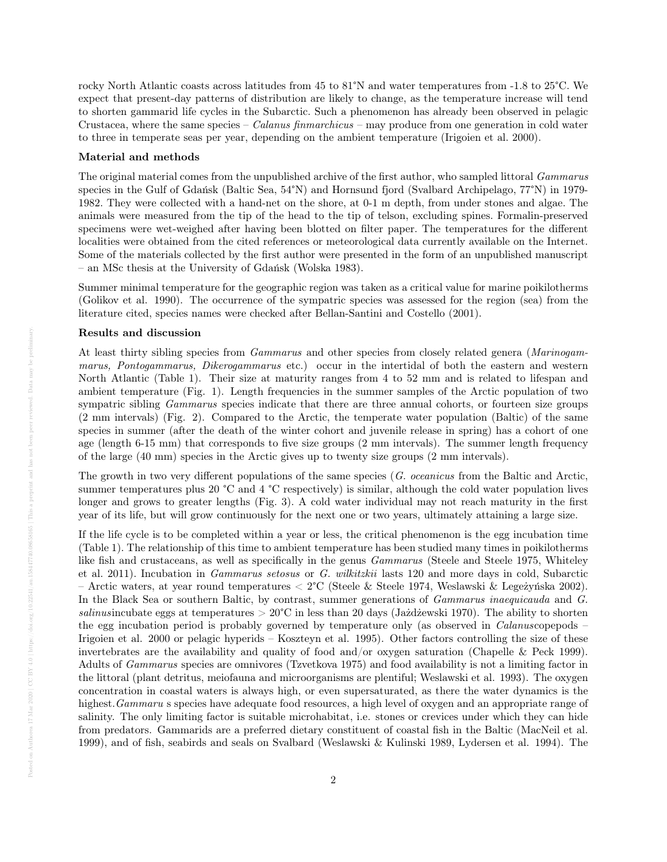rocky North Atlantic coasts across latitudes from 45 to 81°N and water temperatures from -1.8 to 25°C. We expect that present-day patterns of distribution are likely to change, as the temperature increase will tend to shorten gammarid life cycles in the Subarctic. Such a phenomenon has already been observed in pelagic Crustacea, where the same species – Calanus finmarchicus – may produce from one generation in cold water to three in temperate seas per year, depending on the ambient temperature (Irigoien et al. 2000).

#### Material and methods

The original material comes from the unpublished archive of the first author, who sampled littoral *Gammarus* species in the Gulf of Gdańsk (Baltic Sea, 54°N) and Hornsund fjord (Svalbard Archipelago, 77°N) in 1979-1982. They were collected with a hand-net on the shore, at 0-1 m depth, from under stones and algae. The animals were measured from the tip of the head to the tip of telson, excluding spines. Formalin-preserved specimens were wet-weighed after having been blotted on filter paper. The temperatures for the different localities were obtained from the cited references or meteorological data currently available on the Internet. Some of the materials collected by the first author were presented in the form of an unpublished manuscript – an MSc thesis at the University of Gdańsk (Wolska 1983).

Summer minimal temperature for the geographic region was taken as a critical value for marine poikilotherms (Golikov et al. 1990). The occurrence of the sympatric species was assessed for the region (sea) from the literature cited, species names were checked after Bellan-Santini and Costello (2001).

#### Results and discussion

At least thirty sibling species from *Gammarus* and other species from closely related genera (*Marinogam*marus, Pontogammarus, Dikerogammarus etc.) occur in the intertidal of both the eastern and western North Atlantic (Table 1). Their size at maturity ranges from 4 to 52 mm and is related to lifespan and ambient temperature (Fig. 1). Length frequencies in the summer samples of the Arctic population of two sympatric sibling *Gammarus* species indicate that there are three annual cohorts, or fourteen size groups (2 mm intervals) (Fig. 2). Compared to the Arctic, the temperate water population (Baltic) of the same species in summer (after the death of the winter cohort and juvenile release in spring) has a cohort of one age (length 6-15 mm) that corresponds to five size groups (2 mm intervals). The summer length frequency of the large (40 mm) species in the Arctic gives up to twenty size groups (2 mm intervals).

The growth in two very different populations of the same species (G. oceanicus from the Baltic and Arctic, summer temperatures plus 20 °C and 4 °C respectively) is similar, although the cold water population lives longer and grows to greater lengths (Fig. 3). A cold water individual may not reach maturity in the first year of its life, but will grow continuously for the next one or two years, ultimately attaining a large size.

If the life cycle is to be completed within a year or less, the critical phenomenon is the egg incubation time (Table 1). The relationship of this time to ambient temperature has been studied many times in poikilotherms like fish and crustaceans, as well as specifically in the genus *Gammarus* (Steele and Steele 1975, Whiteley et al. 2011). Incubation in Gammarus setosus or G. wilkitzkii lasts 120 and more days in cold, Subarctic – Arctic waters, at year round temperatures  $\langle 2^{\circ}C \rangle$  (Steele & Steele 1974, Weslawski & Legezynı́ska 2002). In the Black Sea or southern Baltic, by contrast, summer generations of Gammarus inaequicauda and G. salinusincubate eggs at temperatures  $> 20^{\circ}\text{C}$  in less than 20 days (Jaždžewski 1970). The ability to shorten the egg incubation period is probably governed by temperature only (as observed in Calanuscopepods – Irigoien et al. 2000 or pelagic hyperids – Koszteyn et al. 1995). Other factors controlling the size of these invertebrates are the availability and quality of food and/or oxygen saturation (Chapelle & Peck 1999). Adults of Gammarus species are omnivores (Tzvetkova 1975) and food availability is not a limiting factor in the littoral (plant detritus, meiofauna and microorganisms are plentiful; Weslawski et al. 1993). The oxygen concentration in coastal waters is always high, or even supersaturated, as there the water dynamics is the highest. Gammaru s species have adequate food resources, a high level of oxygen and an appropriate range of salinity. The only limiting factor is suitable microhabitat, i.e. stones or crevices under which they can hide from predators. Gammarids are a preferred dietary constituent of coastal fish in the Baltic (MacNeil et al. 1999), and of fish, seabirds and seals on Svalbard (Weslawski & Kulinski 1989, Lydersen et al. 1994). The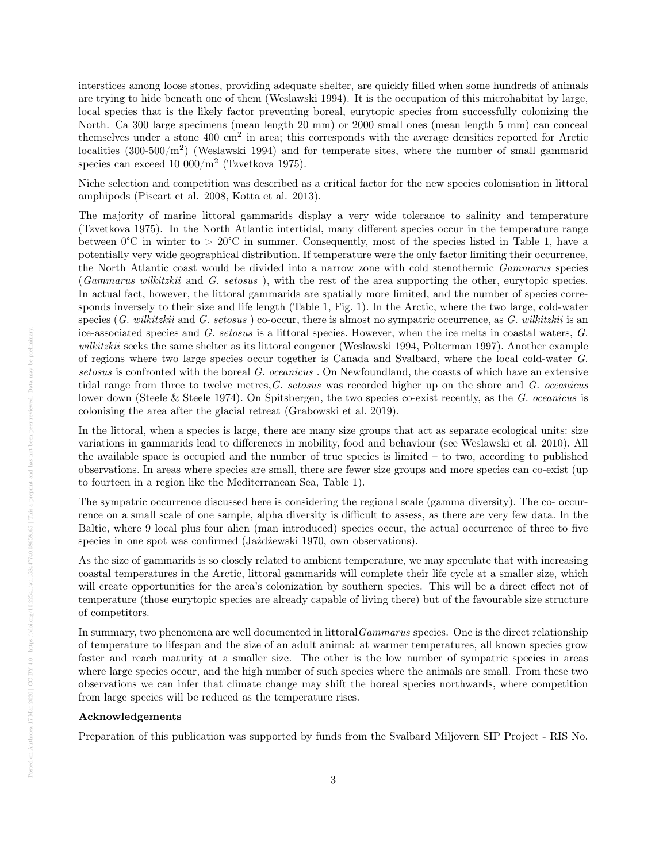interstices among loose stones, providing adequate shelter, are quickly filled when some hundreds of animals are trying to hide beneath one of them (Weslawski 1994). It is the occupation of this microhabitat by large, local species that is the likely factor preventing boreal, eurytopic species from successfully colonizing the North. Ca 300 large specimens (mean length 20 mm) or 2000 small ones (mean length 5 mm) can conceal themselves under a stone 400 cm<sup>2</sup> in area; this corresponds with the average densities reported for Arctic localities  $(300-500/m^2)$  (Weslawski 1994) and for temperate sites, where the number of small gammarid species can exceed 10 000/ $m^2$  (Tzvetkova 1975).

Niche selection and competition was described as a critical factor for the new species colonisation in littoral amphipods (Piscart et al. 2008, Kotta et al. 2013).

The majority of marine littoral gammarids display a very wide tolerance to salinity and temperature (Tzvetkova 1975). In the North Atlantic intertidal, many different species occur in the temperature range between  $0^{\circ}$ C in winter to  $> 20^{\circ}$ C in summer. Consequently, most of the species listed in Table 1, have a potentially very wide geographical distribution. If temperature were the only factor limiting their occurrence, the North Atlantic coast would be divided into a narrow zone with cold stenothermic Gammarus species (Gammarus wilkitzkii and G. setosus ), with the rest of the area supporting the other, eurytopic species. In actual fact, however, the littoral gammarids are spatially more limited, and the number of species corresponds inversely to their size and life length (Table 1, Fig. 1). In the Arctic, where the two large, cold-water species  $(G. \textit{wikitzkii} \text{ and } G. \textit{setosus}$  ) co-occur, there is almost no sympatric occurrence, as  $G. \textit{wikitzkii}$  is an ice-associated species and G. setosus is a littoral species. However, when the ice melts in coastal waters, G. wilkitzkii seeks the same shelter as its littoral congener (Weslawski 1994, Polterman 1997). Another example of regions where two large species occur together is Canada and Svalbard, where the local cold-water G. setosus is confronted with the boreal G. oceanicus . On Newfoundland, the coasts of which have an extensive tidal range from three to twelve metres, G. setosus was recorded higher up on the shore and  $G$ . oceanicus lower down (Steele & Steele 1974). On Spitsbergen, the two species co-exist recently, as the G. oceanicus is colonising the area after the glacial retreat (Grabowski et al. 2019).

In the littoral, when a species is large, there are many size groups that act as separate ecological units: size variations in gammarids lead to differences in mobility, food and behaviour (see Weslawski et al. 2010). All the available space is occupied and the number of true species is limited  $-$  to two, according to published observations. In areas where species are small, there are fewer size groups and more species can co-exist (up to fourteen in a region like the Mediterranean Sea, Table 1).

The sympatric occurrence discussed here is considering the regional scale (gamma diversity). The co- occurrence on a small scale of one sample, alpha diversity is difficult to assess, as there are very few data. In the Baltic, where 9 local plus four alien (man introduced) species occur, the actual occurrence of three to five species in one spot was confirmed (Jażdżewski 1970, own observations).

As the size of gammarids is so closely related to ambient temperature, we may speculate that with increasing coastal temperatures in the Arctic, littoral gammarids will complete their life cycle at a smaller size, which will create opportunities for the area's colonization by southern species. This will be a direct effect not of temperature (those eurytopic species are already capable of living there) but of the favourable size structure of competitors.

In summary, two phenomena are well documented in littoral *Gammarus* species. One is the direct relationship of temperature to lifespan and the size of an adult animal: at warmer temperatures, all known species grow faster and reach maturity at a smaller size. The other is the low number of sympatric species in areas where large species occur, and the high number of such species where the animals are small. From these two observations we can infer that climate change may shift the boreal species northwards, where competition from large species will be reduced as the temperature rises.

#### Acknowledgements

Preparation of this publication was supported by funds from the Svalbard Miljovern SIP Project - RIS No.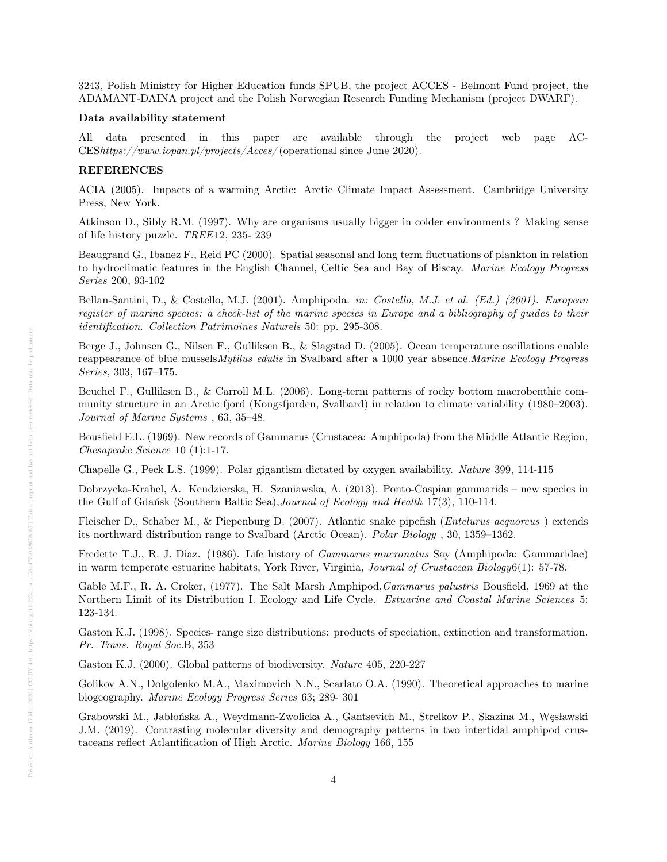3243, Polish Ministry for Higher Education funds SPUB, the project ACCES - Belmont Fund project, the ADAMANT-DAINA project and the Polish Norwegian Research Funding Mechanism (project DWARF).

#### Data availability statement

data presented in this paper are available through the project web page AC-CEShttps://www.iopan.pl/projects/Acces/ (operational since June 2020).

### REFERENCES

ACIA (2005). Impacts of a warming Arctic: Arctic Climate Impact Assessment. Cambridge University Press, New York.

Atkinson D., Sibly R.M. (1997). Why are organisms usually bigger in colder environments ? Making sense of life history puzzle. TREE12, 235- 239

Beaugrand G., Ibanez F., Reid PC (2000). Spatial seasonal and long term fluctuations of plankton in relation to hydroclimatic features in the English Channel, Celtic Sea and Bay of Biscay. Marine Ecology Progress Series 200, 93-102

Bellan-Santini, D., & Costello, M.J. (2001). Amphipoda. in: Costello, M.J. et al. (Ed.) (2001). European register of marine species: a check-list of the marine species in Europe and a bibliography of guides to their identification. Collection Patrimoines Naturels 50: pp. 295-308.

Berge J., Johnsen G., Nilsen F., Gulliksen B., & Slagstad D. (2005). Ocean temperature oscillations enable reappearance of blue mussels Mytilus edulis in Svalbard after a 1000 year absence. Marine Ecology Progress Series, 303, 167–175.

Beuchel F., Gulliksen B., & Carroll M.L. (2006). Long-term patterns of rocky bottom macrobenthic community structure in an Arctic fjord (Kongsfjorden, Svalbard) in relation to climate variability (1980–2003). Journal of Marine Systems , 63, 35–48.

Bousfield E.L. (1969). New records of Gammarus (Crustacea: Amphipoda) from the Middle Atlantic Region, Chesapeake Science 10 (1):1-17.

Chapelle G., Peck L.S. (1999). Polar gigantism dictated by oxygen availability. Nature 399, 114-115

Dobrzycka-Krahel, A. Kendzierska, H. Szaniawska, A. (2013). Ponto-Caspian gammarids – new species in the Gulf of Gdańsk (Southern Baltic Sea), Journal of Ecology and Health 17(3), 110-114.

Fleischer D., Schaber M., & Piepenburg D. (2007). Atlantic snake pipefish (Entelurus aequoreus ) extends its northward distribution range to Svalbard (Arctic Ocean). Polar Biology , 30, 1359–1362.

Fredette T.J., R. J. Diaz. (1986). Life history of Gammarus mucronatus Say (Amphipoda: Gammaridae) in warm temperate estuarine habitats, York River, Virginia, Journal of Crustacean Biology6(1): 57-78.

Gable M.F., R. A. Croker, (1977). The Salt Marsh Amphipod, *Gammarus palustris* Bousfield, 1969 at the Northern Limit of its Distribution I. Ecology and Life Cycle. Estuarine and Coastal Marine Sciences 5: 123-134.

Gaston K.J. (1998). Species- range size distributions: products of speciation, extinction and transformation. Pr. Trans. Royal Soc.B, 353

Gaston K.J. (2000). Global patterns of biodiversity. Nature 405, 220-227

Golikov A.N., Dolgolenko M.A., Maximovich N.N., Scarlato O.A. (1990). Theoretical approaches to marine biogeography. Marine Ecology Progress Series 63; 289- 301

Grabowski M., Jabłońska A., Weydmann-Zwolicka A., Gantsevich M., Strelkov P., Skazina M., Węsławski J.M. (2019). Contrasting molecular diversity and demography patterns in two intertidal amphipod crustaceans reflect Atlantification of High Arctic. Marine Biology 166, 155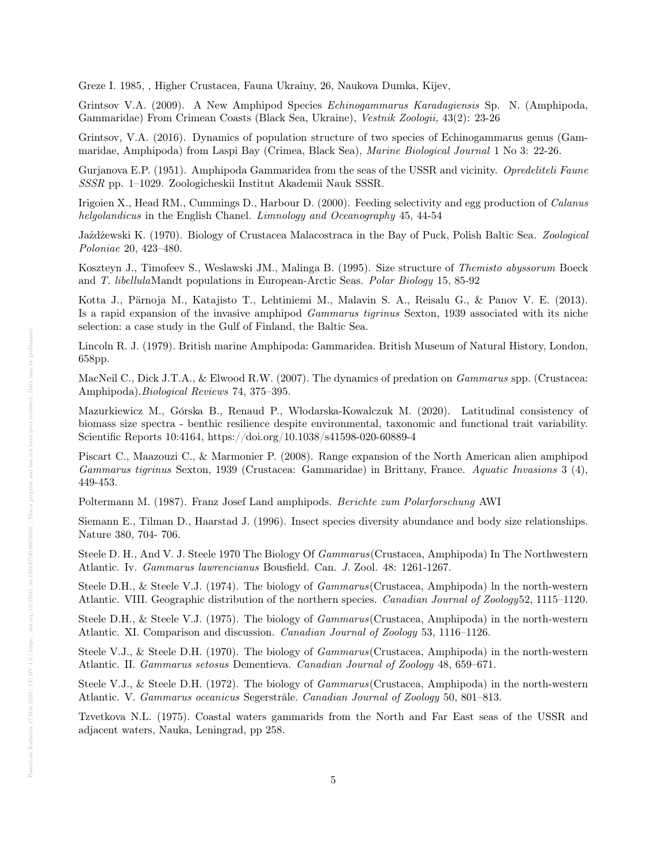Greze I. 1985, , Higher Crustacea, Fauna Ukrainy, 26, Naukova Dumka, Kijev,

Grintsov V.A. (2009). A New Amphipod Species Echinogammarus Karadagiensis Sp. N. (Amphipoda, Gammaridae) From Crimean Coasts (Black Sea, Ukraine), Vestnik Zoologii, 43(2): 23-26

Grintsov, V.A. (2016). Dynamics of population structure of two species of Echinogammarus genus (Gammaridae, Amphipoda) from Laspi Bay (Crimea, Black Sea), Marine Biological Journal 1 No 3: 22-26.

Gurjanova E.P. (1951). Amphipoda Gammaridea from the seas of the USSR and vicinity. Opredeliteli Faune SSSR pp. 1–1029. Zoologicheskii Institut Akademii Nauk SSSR.

Irigoien X., Head RM., Cummings D., Harbour D. (2000). Feeding selectivity and egg production of Calanus helgolandicus in the English Chanel. Limnology and Oceanography 45, 44-54

Jażdżewski K. (1970). Biology of Crustacea Malacostraca in the Bay of Puck, Polish Baltic Sea. Zoological Poloniae 20, 423–480.

Koszteyn J., Timofeev S., Weslawski JM., Malinga B. (1995). Size structure of Themisto abyssorum Boeck and T. libellulaMandt populations in European-Arctic Seas. Polar Biology 15, 85-92

Kotta J., Pärnoja M., Katajisto T., Lehtiniemi M., Malavin S. A., Reisalu G., & Panov V. E. (2013). Is a rapid expansion of the invasive amphipod Gammarus tigrinus Sexton, 1939 associated with its niche selection: a case study in the Gulf of Finland, the Baltic Sea.

Lincoln R. J. (1979). British marine Amphipoda: Gammaridea. British Museum of Natural History, London, 658pp.

MacNeil C., Dick J.T.A., & Elwood R.W. (2007). The dynamics of predation on *Gammarus* spp. (Crustacea: Amphipoda).Biological Reviews 74, 375–395.

Mazurkiewicz M., Górska B., Renaud P., Włodarska-Kowalczuk M. (2020). Latitudinal consistency of biomass size spectra - benthic resilience despite environmental, taxonomic and functional trait variability. Scientific Reports 10:4164, https://doi.org/10.1038/s41598-020-60889-4

Piscart C., Maazouzi C., & Marmonier P. (2008). Range expansion of the North American alien amphipod Gammarus tigrinus Sexton, 1939 (Crustacea: Gammaridae) in Brittany, France. Aquatic Invasions 3 (4), 449-453.

Poltermann M. (1987). Franz Josef Land amphipods. Berichte zum Polarforschung AWI

Siemann E., Tilman D., Haarstad J. (1996). Insect species diversity abundance and body size relationships. Nature 380, 704- 706.

Steele D. H., And V. J. Steele 1970 The Biology Of Gammarus(Crustacea, Amphipoda) In The Northwestern Atlantic. Iv. Gammarus lawrencianus Bousfield. Can. J. Zool. 48: 1261-1267.

Steele D.H., & Steele V.J. (1974). The biology of *Gammarus* (Crustacea, Amphipoda) ln the north-western Atlantic. VIII. Geographic distribution of the northern species. Canadian Journal of Zoology52, 1115–1120.

Steele D.H., & Steele V.J. (1975). The biology of *Gammarus* (Crustacea, Amphipoda) in the north-western Atlantic. XI. Comparison and discussion. Canadian Journal of Zoology 53, 1116–1126.

Steele V.J., & Steele D.H. (1970). The biology of *Gammarus* (Crustacea, Amphipoda) in the north-western Atlantic. II. Gammarus setosus Dementieva. Canadian Journal of Zoology 48, 659–671.

Steele V.J., & Steele D.H. (1972). The biology of *Gammarus* (Crustacea, Amphipoda) in the north-western Atlantic. V. Gammarus oceanicus Segerstråle. Canadian Journal of Zoology 50, 801–813.

Tzvetkova N.L. (1975). Coastal waters gammarids from the North and Far East seas of the USSR and adjacent waters, Nauka, Leningrad, pp 258.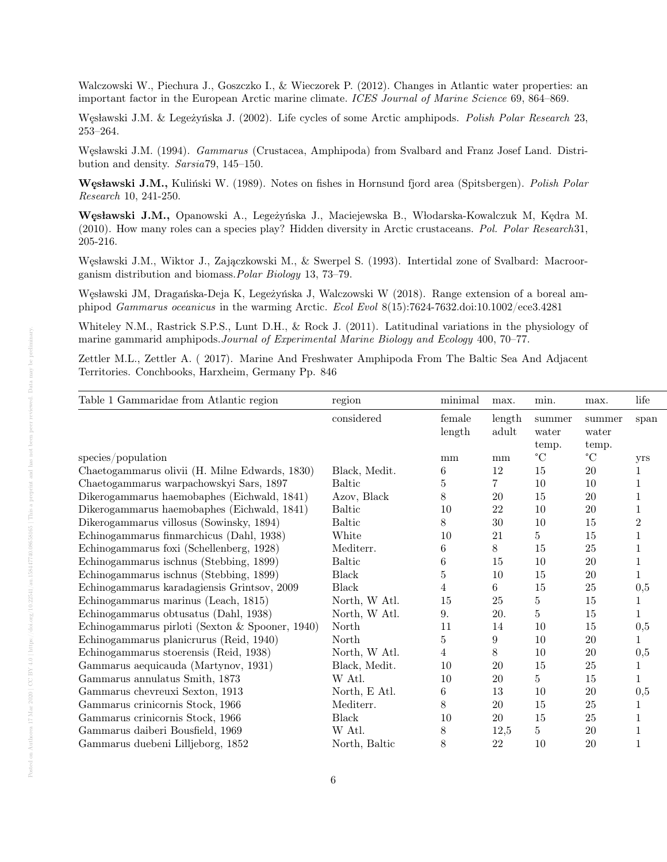Walczowski W., Piechura J., Goszczko I., & Wieczorek P. (2012). Changes in Atlantic water properties: an important factor in the European Arctic marine climate. ICES Journal of Marine Science 69, 864–869.

Węsławski J.M. & Legeżyńska J. (2002). Life cycles of some Arctic amphipods. Polish Polar Research 23, 253–264.

Węsławski J.M. (1994). Gammarus (Crustacea, Amphipoda) from Svalbard and Franz Josef Land. Distribution and density. Sarsia79, 145–150.

Węsławski J.M., Kuliński W. (1989). Notes on fishes in Hornsund fjord area (Spitsbergen). Polish Polar Research 10, 241-250.

Węsławski J.M., Opanowski A., Legeżyńska J., Maciejewska B., Włodarska-Kowalczuk M, Kędra M. (2010). How many roles can a species play? Hidden diversity in Arctic crustaceans. Pol. Polar Research31, 205-216.

Wesławski J.M., Wiktor J., Zajączkowski M., & Swerpel S. (1993). Intertidal zone of Svalbard: Macroorganism distribution and biomass.Polar Biology 13, 73–79.

Węsławski JM, Dragańska-Deja K, Legeżyńska J, Walczowski W (2018). Range extension of a boreal amphipod Gammarus oceanicus in the warming Arctic. Ecol Evol 8(15):7624-7632.doi:10.1002/ece3.4281

Whiteley N.M., Rastrick S.P.S., Lunt D.H., & Rock J. (2011). Latitudinal variations in the physiology of marine gammarid amphipods.Journal of Experimental Marine Biology and Ecology 400, 70–77.

Zettler M.L., Zettler A. ( 2017). Marine And Freshwater Amphipoda From The Baltic Sea And Adjacent Territories. Conchbooks, Harxheim, Germany Pp. 846

| Table 1 Gammaridae from Atlantic region         | region        | minimal | max.                   | min.        | max.        | life       |
|-------------------------------------------------|---------------|---------|------------------------|-------------|-------------|------------|
|                                                 | considered    | female  | length                 | summer      | summer      | span       |
|                                                 |               | length  | $\operatorname{adult}$ | water       | water       |            |
|                                                 |               |         |                        | temp.       | temp.       |            |
| species/population                              |               | mm      | mm                     | $^{\circ}C$ | $^{\circ}C$ | <b>VIS</b> |
| Chaetogammarus olivii (H. Milne Edwards, 1830)  | Black, Medit. |         | 12                     | 15          | 20          |            |
| Chaetogammarus warpachowskyi Sars, 1897         | <b>Baltic</b> |         |                        | 10          | 10          |            |
| Dikerogammarus haemobaphes (Eichwald, 1841)     | Azov, Black   |         | 20                     | 15          | <b>20</b>   |            |
| Dikerogammarus haemobaphes (Eichwald, 1841)     | <b>Baltic</b> | 10      | 22                     | 10          | 20          |            |
| Dikerogammarus villosus (Sowinsky, 1894)        | Baltic        |         | 30                     | 10          | 15          |            |
| Echinogammarus finmarchicus (Dahl, 1938)        | White         | 10      | 21                     |             | 15          |            |
| Echinogammarus foxi (Schellenberg, 1928)        | Mediterr.     |         |                        | 15          | 25          |            |
| Echinogammarus ischnus (Stebbing, 1899)         | <b>Baltic</b> |         | 15                     | 10          | 20          |            |
| Echinogammarus ischnus (Stebbing, 1899)         | Black         |         | 10                     | 15          | 20          |            |
| Echinogammarus karadagiensis Grintsov, 2009     | <b>Black</b>  |         |                        | 15          | 25          | 0,5        |
| Echinogammarus marinus (Leach, 1815)            | North, W Atl. | 15      | 25                     |             | 15          |            |
| Echinogammarus obtusatus (Dahl, 1938)           | North, W Atl. | 9.      | 20.                    |             | 15          |            |
| Echinogammarus pirloti (Sexton & Spooner, 1940) | North         |         | 14                     | 10          | 15          | 0,5        |
| Echinogammarus planicrurus (Reid, 1940)         | North         |         |                        | 10          | 20          |            |
| Echinogammarus stoerensis (Reid, 1938)          | North, W Atl. |         |                        | 10          | <b>20</b>   | 0,5        |
| Gammarus aequicauda (Martynov, 1931)            | Black, Medit. | 10      | 20                     | 15          | 25          |            |
| Gammarus annulatus Smith, 1873                  | W Atl.        | 10      | 20                     |             | 15          |            |
| Gammarus chevreuxi Sexton, 1913                 | North, E Atl. | 6       | 13                     | 10          | <b>20</b>   | 0,5        |
| Gammarus crinicornis Stock, 1966                | Mediterr.     |         | 20                     | 15          | 25          |            |
| Gammarus crinicornis Stock, 1966                | <b>Black</b>  | 10      | 20                     | 15          | 25          |            |
| Gammarus daiberi Bousfield, 1969                | W Atl.        |         | 12,5                   |             | 20          |            |
| Gammarus duebeni Lilljeborg, 1852               | North, Baltic |         | 22                     | 10          | 20          |            |